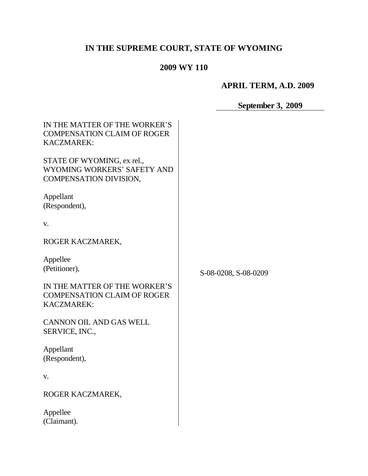# **IN THE SUPREME COURT, STATE OF WYOMING**

## **2009 WY 110**

# **APRIL TERM, A.D. 2009**

# **September 3, 2009**

| IN THE MATTER OF THE WORKER'S<br><b>COMPENSATION CLAIM OF ROGER</b><br><b>KACZMAREK:</b> |                      |
|------------------------------------------------------------------------------------------|----------------------|
| STATE OF WYOMING, ex rel.,<br>WYOMING WORKERS' SAFETY AND<br>COMPENSATION DIVISION,      |                      |
| Appellant<br>(Respondent),                                                               |                      |
| V.                                                                                       |                      |
| ROGER KACZMAREK,                                                                         |                      |
| Appellee<br>(Petitioner),                                                                | S-08-0208, S-08-0209 |
| IN THE MATTER OF THE WORKER'S<br><b>COMPENSATION CLAIM OF ROGER</b><br>KACZMAREK:        |                      |
| <b>CANNON OIL AND GAS WELL</b><br>SERVICE, INC.,                                         |                      |
| Appellant<br>(Respondent),                                                               |                      |
| V.                                                                                       |                      |
| ROGER KACZMAREK,                                                                         |                      |
| Appellee<br>(Claimant).                                                                  |                      |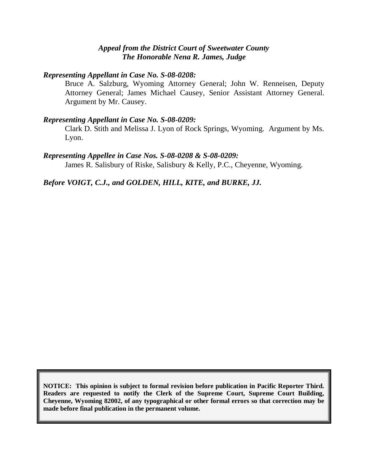#### *Appeal from the District Court of Sweetwater County The Honorable Nena R. James, Judge*

#### *Representing Appellant in Case No. S-08-0208:*

Bruce A. Salzburg, Wyoming Attorney General; John W. Renneisen, Deputy Attorney General; James Michael Causey, Senior Assistant Attorney General. Argument by Mr. Causey.

#### *Representing Appellant in Case No. S-08-0209:*

Clark D. Stith and Melissa J. Lyon of Rock Springs, Wyoming. Argument by Ms. Lyon.

#### *Representing Appellee in Case Nos. S-08-0208 & S-08-0209:*

James R. Salisbury of Riske, Salisbury & Kelly, P.C., Cheyenne, Wyoming.

*Before VOIGT, C.J., and GOLDEN, HILL, KITE, and BURKE, JJ.*

**NOTICE: This opinion is subject to formal revision before publication in Pacific Reporter Third. Readers are requested to notify the Clerk of the Supreme Court, Supreme Court Building, Cheyenne, Wyoming 82002, of any typographical or other formal errors so that correction may be made before final publication in the permanent volume.**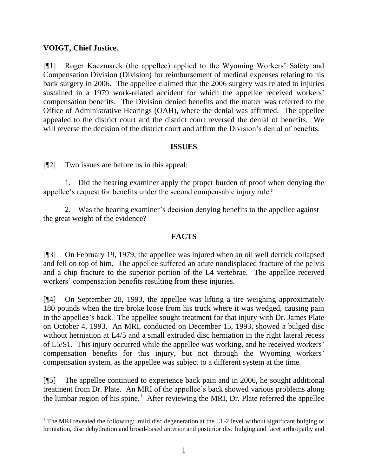### **VOIGT, Chief Justice.**

[¶1] Roger Kaczmarek (the appellee) applied to the Wyoming Workers' Safety and Compensation Division (Division) for reimbursement of medical expenses relating to his back surgery in 2006. The appellee claimed that the 2006 surgery was related to injuries sustained in a 1979 work-related accident for which the appellee received workers' compensation benefits. The Division denied benefits and the matter was referred to the Office of Administrative Hearings (OAH), where the denial was affirmed. The appellee appealed to the district court and the district court reversed the denial of benefits. We will reverse the decision of the district court and affirm the Division's denial of benefits.

#### **ISSUES**

[¶2] Two issues are before us in this appeal:

1. Did the hearing examiner apply the proper burden of proof when denying the appellee's request for benefits under the second compensable injury rule?

2. Was the hearing examiner's decision denying benefits to the appellee against the great weight of the evidence?

### **FACTS**

[¶3] On February 19, 1979, the appellee was injured when an oil well derrick collapsed and fell on top of him. The appellee suffered an acute nondisplaced fracture of the pelvis and a chip fracture to the superior portion of the L4 vertebrae. The appellee received workers' compensation benefits resulting from these injuries.

[¶4] On September 28, 1993, the appellee was lifting a tire weighing approximately 180 pounds when the tire broke loose from his truck where it was wedged, causing pain in the appellee's back. The appellee sought treatment for that injury with Dr. James Plate on October 4, 1993. An MRI, conducted on December 15, 1993, showed a bulged disc without herniation at L4/5 and a small extruded disc herniation in the right lateral recess of L5/S1. This injury occurred while the appellee was working, and he received workers' compensation benefits for this injury, but not through the Wyoming workers' compensation system, as the appellee was subject to a different system at the time.

[¶5] The appellee continued to experience back pain and in 2006, he sought additional treatment from Dr. Plate. An MRI of the appellee's back showed various problems along the lumbar region of his spine.<sup>1</sup> After reviewing the MRI, Dr. Plate referred the appellee

<sup>&</sup>lt;sup>1</sup> The MRI revealed the following: mild disc degeneration at the L1-2 level without significant bulging or herniation, disc dehydration and broad-based anterior and posterior disc bulging and facet arthropathy and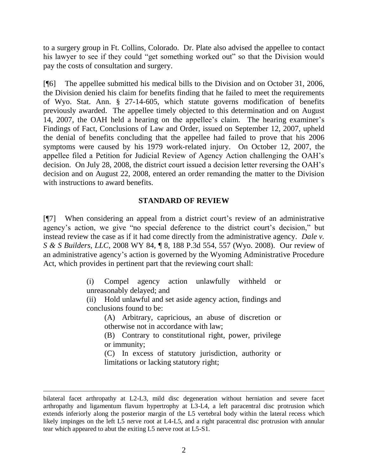to a surgery group in Ft. Collins, Colorado. Dr. Plate also advised the appellee to contact his lawyer to see if they could "get something worked out" so that the Division would pay the costs of consultation and surgery.

[¶6] The appellee submitted his medical bills to the Division and on October 31, 2006, the Division denied his claim for benefits finding that he failed to meet the requirements of Wyo. Stat. Ann. § 27-14-605, which statute governs modification of benefits previously awarded. The appellee timely objected to this determination and on August 14, 2007, the OAH held a hearing on the appellee's claim. The hearing examiner's Findings of Fact, Conclusions of Law and Order, issued on September 12, 2007, upheld the denial of benefits concluding that the appellee had failed to prove that his 2006 symptoms were caused by his 1979 work-related injury. On October 12, 2007, the appellee filed a Petition for Judicial Review of Agency Action challenging the OAH's decision. On July 28, 2008, the district court issued a decision letter reversing the OAH's decision and on August 22, 2008, entered an order remanding the matter to the Division with instructions to award benefits.

## **STANDARD OF REVIEW**

[¶7] When considering an appeal from a district court's review of an administrative agency's action, we give "no special deference to the district court's decision," but instead review the case as if it had come directly from the administrative agency. *Dale v. S & S Builders, LLC*, 2008 WY 84, ¶ 8, 188 P.3d 554, 557 (Wyo. 2008). Our review of an administrative agency's action is governed by the Wyoming Administrative Procedure Act, which provides in pertinent part that the reviewing court shall:

> (i) Compel agency action unlawfully withheld or unreasonably delayed; and

> (ii) Hold unlawful and set aside agency action, findings and conclusions found to be:

(A) Arbitrary, capricious, an abuse of discretion or otherwise not in accordance with law;

(B) Contrary to constitutional right, power, privilege or immunity;

(C) In excess of statutory jurisdiction, authority or limitations or lacking statutory right;

bilateral facet arthropathy at L2-L3, mild disc degeneration without herniation and severe facet arthropathy and ligamentum flavum hypertrophy at L3-L4, a left paracentral disc protrusion which extends inferiorly along the posterior margin of the L5 vertebral body within the lateral recess which likely impinges on the left L5 nerve root at L4-L5, and a right paracentral disc protrusion with annular tear which appeared to abut the exiting L5 nerve root at L5-S1.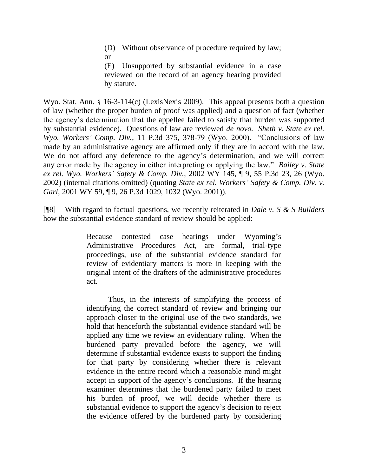(D) Without observance of procedure required by law; or

(E) Unsupported by substantial evidence in a case reviewed on the record of an agency hearing provided by statute.

Wyo. Stat. Ann. § 16-3-114(c) (LexisNexis 2009). This appeal presents both a question of law (whether the proper burden of proof was applied) and a question of fact (whether the agency's determination that the appellee failed to satisfy that burden was supported by substantial evidence). Questions of law are reviewed *de novo. Sheth v. State ex rel. Wyo. Workers' Comp. Div.*, 11 P.3d 375, 378-79 (Wyo. 2000). "Conclusions of law made by an administrative agency are affirmed only if they are in accord with the law. We do not afford any deference to the agency's determination, and we will correct any error made by the agency in either interpreting or applying the law." *Bailey v. State ex rel. Wyo. Workers' Safety & Comp. Div.*, 2002 WY 145, ¶ 9, 55 P.3d 23, 26 (Wyo. 2002) (internal citations omitted) (quoting *State ex rel. Workers' Safety & Comp. Div. v. Garl*, 2001 WY 59, ¶ 9, 26 P.3d 1029, 1032 (Wyo. 2001)).

[¶8] With regard to factual questions, we recently reiterated in *Dale v. S & S Builders* how the substantial evidence standard of review should be applied:

> Because contested case hearings under Wyoming's Administrative Procedures Act, are formal, trial-type proceedings, use of the substantial evidence standard for review of evidentiary matters is more in keeping with the original intent of the drafters of the administrative procedures act.

> Thus, in the interests of simplifying the process of identifying the correct standard of review and bringing our approach closer to the original use of the two standards, we hold that henceforth the substantial evidence standard will be applied any time we review an evidentiary ruling. When the burdened party prevailed before the agency, we will determine if substantial evidence exists to support the finding for that party by considering whether there is relevant evidence in the entire record which a reasonable mind might accept in support of the agency's conclusions. If the hearing examiner determines that the burdened party failed to meet his burden of proof, we will decide whether there is substantial evidence to support the agency's decision to reject the evidence offered by the burdened party by considering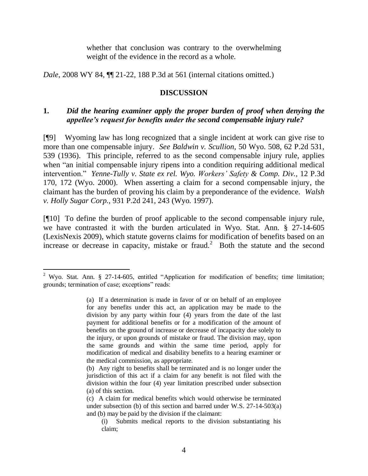whether that conclusion was contrary to the overwhelming weight of the evidence in the record as a whole.

*Dale*, 2008 WY 84, **[1]** 21-22, 188 P.3d at 561 (internal citations omitted.)

#### **DISCUSSION**

## **1.** *Did the hearing examiner apply the proper burden of proof when denying the appellee's request for benefits under the second compensable injury rule?*

[¶9] Wyoming law has long recognized that a single incident at work can give rise to more than one compensable injury. *See Baldwin v. Scullion*, 50 Wyo. 508, 62 P.2d 531, 539 (1936). This principle, referred to as the second compensable injury rule, applies when "an initial compensable injury ripens into a condition requiring additional medical intervention." *Yenne-Tully v. State ex rel. Wyo. Workers' Safety & Comp. Div.*, 12 P.3d 170, 172 (Wyo. 2000). When asserting a claim for a second compensable injury, the claimant has the burden of proving his claim by a preponderance of the evidence. *Walsh v. Holly Sugar Corp.*, 931 P.2d 241, 243 (Wyo. 1997).

[¶10] To define the burden of proof applicable to the second compensable injury rule, we have contrasted it with the burden articulated in Wyo. Stat. Ann. § 27-14-605 (LexisNexis 2009), which statute governs claims for modification of benefits based on an increase or decrease in capacity, mistake or fraud.<sup>2</sup> Both the statute and the second

<sup>&</sup>lt;sup>2</sup> Wyo. Stat. Ann. § 27-14-605, entitled "Application for modification of benefits; time limitation; grounds; termination of case; exceptions" reads:

<sup>(</sup>a) If a determination is made in favor of or on behalf of an employee for any benefits under this act, an application may be made to the division by any party within four (4) years from the date of the last payment for additional benefits or for a modification of the amount of benefits on the ground of increase or decrease of incapacity due solely to the injury, or upon grounds of mistake or fraud. The division may, upon the same grounds and within the same time period, apply for modification of medical and disability benefits to a hearing examiner or the medical commission, as appropriate.

<sup>(</sup>b) Any right to benefits shall be terminated and is no longer under the jurisdiction of this act if a claim for any benefit is not filed with the division within the four (4) year limitation prescribed under subsection (a) of this section.

<sup>(</sup>c) A claim for medical benefits which would otherwise be terminated under subsection (b) of this section and barred under W.S. 27-14-503(a) and (b) may be paid by the division if the claimant:

<sup>(</sup>i) Submits medical reports to the division substantiating his claim;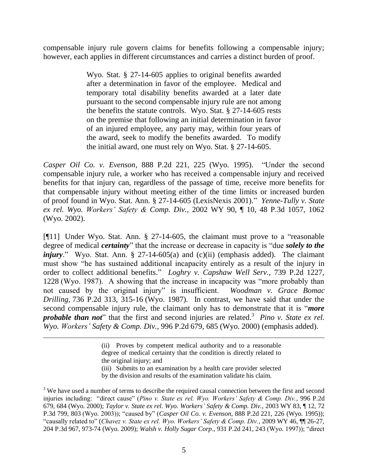compensable injury rule govern claims for benefits following a compensable injury; however, each applies in different circumstances and carries a distinct burden of proof.

> Wyo. Stat. § 27-14-605 applies to original benefits awarded after a determination in favor of the employee. Medical and temporary total disability benefits awarded at a later date pursuant to the second compensable injury rule are not among the benefits the statute controls. Wyo. Stat. § 27-14-605 rests on the premise that following an initial determination in favor of an injured employee, any party may, within four years of the award, seek to modify the benefits awarded. To modify the initial award, one must rely on Wyo. Stat. § 27-14-605.

*Casper Oil Co. v. Evenson*, 888 P.2d 221, 225 (Wyo. 1995). "Under the second compensable injury rule, a worker who has received a compensable injury and received benefits for that injury can, regardless of the passage of time, receive more benefits for that compensable injury without meeting either of the time limits or increased burden of proof found in Wyo. Stat. Ann. § 27-14-605 (LexisNexis 2001)." *Yenne-Tully v. State ex rel. Wyo. Workers' Safety & Comp. Div.*, 2002 WY 90, ¶ 10, 48 P.3d 1057, 1062 (Wyo. 2002).

[¶11] Under Wyo. Stat. Ann. § 27-14-605, the claimant must prove to a "reasonable degree of medical *certainty*" that the increase or decrease in capacity is "due *solely to the injury*." Wyo. Stat. Ann. § 27-14-605(a) and (c)(ii) (emphasis added). The claimant must show "he has sustained additional incapacity entirely as a result of the injury in order to collect additional benefits." *Loghry v. Capshaw Well Serv.*, 739 P.2d 1227, 1228 (Wyo. 1987). A showing that the increase in incapacity was "more probably than not caused by the original injury" is insufficient. *Woodman v. Grace Bomac Drilling*, 736 P.2d 313, 315-16 (Wyo. 1987). In contrast, we have said that under the second compensable injury rule, the claimant only has to demonstrate that it is "*more probable than not*" that the first and second injuries are related.<sup>3</sup> Pino *v. State ex rel. Wyo. Workers' Safety & Comp. Div.*, 996 P.2d 679, 685 (Wyo. 2000) (emphasis added).

(iii) Submits to an examination by a health care provider selected

by the division and results of the examination validate his claim.

<sup>(</sup>ii) Proves by competent medical authority and to a reasonable degree of medical certainty that the condition is directly related to the original injury; and

<sup>&</sup>lt;sup>3</sup> We have used a number of terms to describe the required causal connection between the first and second injuries including: "direct cause" (*Pino v. State ex rel. Wyo. Workers' Safety & Comp. Div.*, 996 P.2d 679, 684 (Wyo. 2000); *Taylor v. State ex rel. Wyo. Workers' Safety & Comp. Div.*, 2003 WY 83, ¶ 12, 72 P.3d 799, 803 (Wyo. 2003)); "caused by" (*Casper Oil Co. v. Evenson*, 888 P.2d 221, 226 (Wyo. 1995)); "causally related to" (*Chavez v. State ex rel. Wyo. Workers' Safety & Comp. Div.*, 2009 WY 46, ¶¶ 26-27, 204 P.3d 967, 973-74 (Wyo. 2009); *Walsh v. Holly Sugar Corp.*, 931 P.2d 241, 243 (Wyo. 1997)); "direct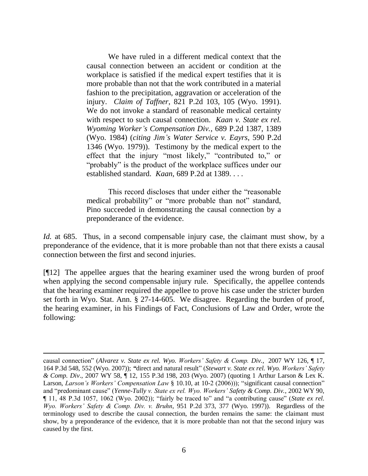We have ruled in a different medical context that the causal connection between an accident or condition at the workplace is satisfied if the medical expert testifies that it is more probable than not that the work contributed in a material fashion to the precipitation, aggravation or acceleration of the injury. *Claim of Taffner*, 821 P.2d 103, 105 (Wyo. 1991). We do not invoke a standard of reasonable medical certainty with respect to such causal connection. *Kaan v. State ex rel. Wyoming Worker's Compensation Div.*, 689 P.2d 1387, 1389 (Wyo. 1984) (*citing Jim's Water Service v. Eayrs*, 590 P.2d 1346 (Wyo. 1979)). Testimony by the medical expert to the effect that the injury "most likely," "contributed to," or "probably" is the product of the workplace suffices under our established standard. *Kaan*, 689 P.2d at 1389. . . .

This record discloses that under either the "reasonable medical probability" or "more probable than not" standard, Pino succeeded in demonstrating the causal connection by a preponderance of the evidence.

*Id.* at 685. Thus, in a second compensable injury case, the claimant must show, by a preponderance of the evidence, that it is more probable than not that there exists a causal connection between the first and second injuries.

[¶12] The appellee argues that the hearing examiner used the wrong burden of proof when applying the second compensable injury rule. Specifically, the appellee contends that the hearing examiner required the appellee to prove his case under the stricter burden set forth in Wyo. Stat. Ann. § 27-14-605. We disagree. Regarding the burden of proof, the hearing examiner, in his Findings of Fact, Conclusions of Law and Order, wrote the following:

causal connection" (*Alvarez v. State ex rel. Wyo. Workers' Safety & Comp. Div.*, 2007 WY 126, ¶ 17, 164 P.3d 548, 552 (Wyo. 2007)); *"*direct and natural result" (*Stewart v. State ex rel. Wyo. Workers' Safety & Comp. Div*., 2007 WY 58, ¶ 12, 155 P.3d 198, 203 (Wyo. 2007) (quoting 1 Arthur Larson & Lex K. Larson, *Larson's Workers' Compensation Law* § 10.10, at 10-2 (2006))); "significant causal connection" and "predominant cause" (*Yenne-Tully v. State ex rel. Wyo. Workers' Safety & Comp. Div.*, 2002 WY 90, ¶ 11, 48 P.3d 1057, 1062 (Wyo. 2002)); "fairly be traced to" and "a contributing cause" (*State ex rel. Wyo. Workers' Safety & Comp. Div. v. Bruhn*, 951 P.2d 373, 377 (Wyo. 1997)). Regardless of the terminology used to describe the causal connection, the burden remains the same: the claimant must show, by a preponderance of the evidence, that it is more probable than not that the second injury was caused by the first.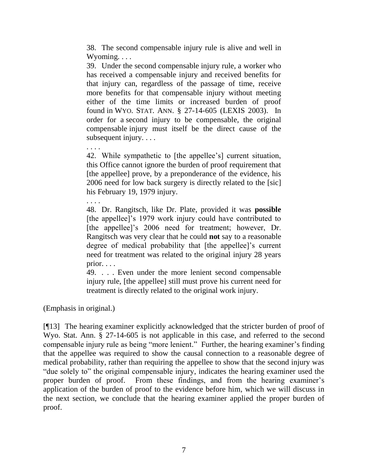38. The second compensable injury rule is alive and well in Wyoming. . . .

39. Under the second compensable injury rule, a worker who has received a compensable injury and received benefits for that injury can, regardless of the passage of time, receive more benefits for that compensable injury without meeting either of the time limits or increased burden of proof found in WYO. STAT. ANN. § 27-14-605 (LEXIS 2003). In order for a second injury to be compensable, the original compensable injury must itself be the direct cause of the subsequent injury. . . .

. . . . 42. While sympathetic to [the appellee's] current situation, this Office cannot ignore the burden of proof requirement that [the appellee] prove, by a preponderance of the evidence, his 2006 need for low back surgery is directly related to the [sic] his February 19, 1979 injury.

48. Dr. Rangitsch, like Dr. Plate, provided it was **possible**  [the appellee]'s 1979 work injury could have contributed to [the appellee]'s 2006 need for treatment; however, Dr. Rangitsch was very clear that he could **not** say to a reasonable degree of medical probability that [the appellee]'s current need for treatment was related to the original injury 28 years prior. . . .

49. . . . Even under the more lenient second compensable injury rule, [the appellee] still must prove his current need for treatment is directly related to the original work injury.

(Emphasis in original.)

. . . .

[¶13] The hearing examiner explicitly acknowledged that the stricter burden of proof of Wyo. Stat. Ann. § 27-14-605 is not applicable in this case, and referred to the second compensable injury rule as being "more lenient." Further, the hearing examiner's finding that the appellee was required to show the causal connection to a reasonable degree of medical probability, rather than requiring the appellee to show that the second injury was "due solely to" the original compensable injury, indicates the hearing examiner used the proper burden of proof. From these findings, and from the hearing examiner's application of the burden of proof to the evidence before him, which we will discuss in the next section, we conclude that the hearing examiner applied the proper burden of proof.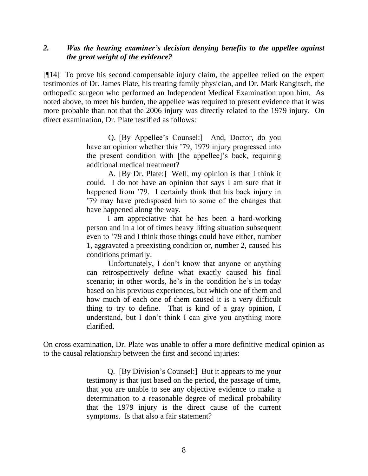### *2. Was the hearing examiner's decision denying benefits to the appellee against the great weight of the evidence?*

[¶14] To prove his second compensable injury claim, the appellee relied on the expert testimonies of Dr. James Plate, his treating family physician, and Dr. Mark Rangitsch, the orthopedic surgeon who performed an Independent Medical Examination upon him. As noted above, to meet his burden, the appellee was required to present evidence that it was more probable than not that the 2006 injury was directly related to the 1979 injury. On direct examination, Dr. Plate testified as follows:

> Q. [By Appellee's Counsel:] And, Doctor, do you have an opinion whether this '79, 1979 injury progressed into the present condition with [the appellee]'s back, requiring additional medical treatment?

> A. [By Dr. Plate:] Well, my opinion is that I think it could. I do not have an opinion that says I am sure that it happened from '79. I certainly think that his back injury in '79 may have predisposed him to some of the changes that have happened along the way.

> I am appreciative that he has been a hard-working person and in a lot of times heavy lifting situation subsequent even to '79 and I think those things could have either, number 1, aggravated a preexisting condition or, number 2, caused his conditions primarily.

> Unfortunately, I don't know that anyone or anything can retrospectively define what exactly caused his final scenario; in other words, he's in the condition he's in today based on his previous experiences, but which one of them and how much of each one of them caused it is a very difficult thing to try to define. That is kind of a gray opinion, I understand, but I don't think I can give you anything more clarified.

On cross examination, Dr. Plate was unable to offer a more definitive medical opinion as to the causal relationship between the first and second injuries:

> Q. [By Division's Counsel:] But it appears to me your testimony is that just based on the period, the passage of time, that you are unable to see any objective evidence to make a determination to a reasonable degree of medical probability that the 1979 injury is the direct cause of the current symptoms. Is that also a fair statement?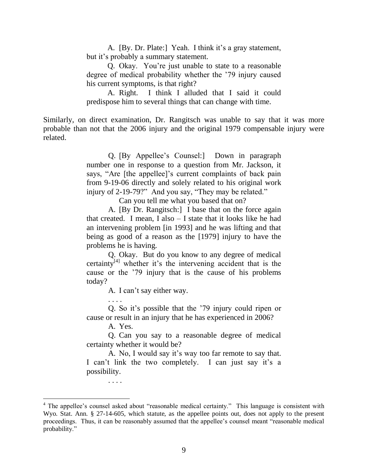A. [By. Dr. Plate:] Yeah. I think it's a gray statement, but it's probably a summary statement.

Q. Okay. You're just unable to state to a reasonable degree of medical probability whether the '79 injury caused his current symptoms, is that right?

A. Right. I think I alluded that I said it could predispose him to several things that can change with time.

Similarly, on direct examination, Dr. Rangitsch was unable to say that it was more probable than not that the 2006 injury and the original 1979 compensable injury were related.

> Q. [By Appellee's Counsel:] Down in paragraph number one in response to a question from Mr. Jackson, it says, "Are [the appellee]'s current complaints of back pain from 9-19-06 directly and solely related to his original work injury of 2-19-79?" And you say, "They may be related."

> > Can you tell me what you based that on?

A. [By Dr. Rangitsch:] I base that on the force again that created. I mean, I also – I state that it looks like he had an intervening problem [in 1993] and he was lifting and that being as good of a reason as the [1979] injury to have the problems he is having.

Q. Okay. But do you know to any degree of medical certainty $\vec{v}^{[4]}$  whether it's the intervening accident that is the cause or the '79 injury that is the cause of his problems today?

A. I can't say either way.

. . . .

Q. So it's possible that the '79 injury could ripen or cause or result in an injury that he has experienced in 2006?

A. Yes.

Q. Can you say to a reasonable degree of medical certainty whether it would be?

A. No, I would say it's way too far remote to say that. I can't link the two completely. I can just say it's a possibility.

. . . .

<sup>&</sup>lt;sup>4</sup> The appellee's counsel asked about "reasonable medical certainty." This language is consistent with Wyo. Stat. Ann. § 27-14-605, which statute, as the appellee points out, does not apply to the present proceedings. Thus, it can be reasonably assumed that the appellee's counsel meant "reasonable medical probability."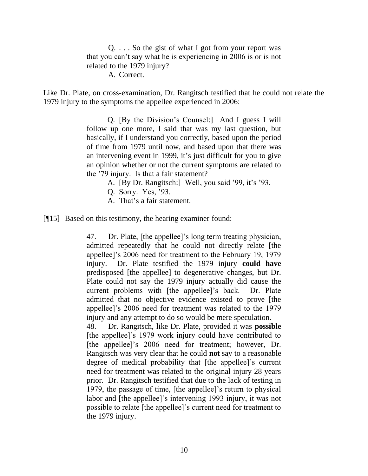Q. . . . So the gist of what I got from your report was that you can't say what he is experiencing in 2006 is or is not related to the 1979 injury? A. Correct.

Like Dr. Plate, on cross-examination, Dr. Rangitsch testified that he could not relate the 1979 injury to the symptoms the appellee experienced in 2006:

> Q. [By the Division's Counsel:] And I guess I will follow up one more, I said that was my last question, but basically, if I understand you correctly, based upon the period of time from 1979 until now, and based upon that there was an intervening event in 1999, it's just difficult for you to give an opinion whether or not the current symptoms are related to the '79 injury. Is that a fair statement?

- A. [By Dr. Rangitsch:] Well, you said '99, it's '93.
- Q. Sorry. Yes, '93.
- A. That's a fair statement.

[¶15] Based on this testimony, the hearing examiner found:

47. Dr. Plate, [the appellee]'s long term treating physician, admitted repeatedly that he could not directly relate [the appellee]'s 2006 need for treatment to the February 19, 1979 injury. Dr. Plate testified the 1979 injury **could have**  predisposed [the appellee] to degenerative changes, but Dr. Plate could not say the 1979 injury actually did cause the current problems with [the appellee]'s back. Dr. Plate admitted that no objective evidence existed to prove [the appellee]'s 2006 need for treatment was related to the 1979 injury and any attempt to do so would be mere speculation.

48. Dr. Rangitsch, like Dr. Plate, provided it was **possible**  [the appellee]'s 1979 work injury could have contributed to [the appellee]'s 2006 need for treatment; however, Dr. Rangitsch was very clear that he could **not** say to a reasonable degree of medical probability that [the appellee]'s current need for treatment was related to the original injury 28 years prior. Dr. Rangitsch testified that due to the lack of testing in 1979, the passage of time, [the appellee]'s return to physical labor and [the appellee]'s intervening 1993 injury, it was not possible to relate [the appellee]'s current need for treatment to the 1979 injury.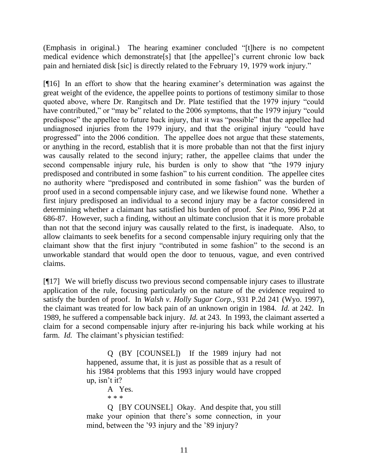(Emphasis in original.) The hearing examiner concluded "[t]here is no competent medical evidence which demonstrate[s] that [the appellee]'s current chronic low back pain and herniated disk [sic] is directly related to the February 19, 1979 work injury."

[¶16] In an effort to show that the hearing examiner's determination was against the great weight of the evidence, the appellee points to portions of testimony similar to those quoted above, where Dr. Rangitsch and Dr. Plate testified that the 1979 injury "could have contributed," or "may be" related to the 2006 symptoms, that the 1979 injury "could predispose" the appellee to future back injury, that it was "possible" that the appellee had undiagnosed injuries from the 1979 injury, and that the original injury "could have progressed" into the 2006 condition. The appellee does not argue that these statements, or anything in the record, establish that it is more probable than not that the first injury was causally related to the second injury; rather, the appellee claims that under the second compensable injury rule, his burden is only to show that "the 1979 injury predisposed and contributed in some fashion" to his current condition. The appellee cites no authority where "predisposed and contributed in some fashion" was the burden of proof used in a second compensable injury case, and we likewise found none. Whether a first injury predisposed an individual to a second injury may be a factor considered in determining whether a claimant has satisfied his burden of proof. *See Pino*, 996 P.2d at 686-87. However, such a finding, without an ultimate conclusion that it is more probable than not that the second injury was causally related to the first, is inadequate. Also, to allow claimants to seek benefits for a second compensable injury requiring only that the claimant show that the first injury "contributed in some fashion" to the second is an unworkable standard that would open the door to tenuous, vague, and even contrived claims.

[¶17] We will briefly discuss two previous second compensable injury cases to illustrate application of the rule, focusing particularly on the nature of the evidence required to satisfy the burden of proof. In *Walsh v. Holly Sugar Corp.*, 931 P.2d 241 (Wyo. 1997), the claimant was treated for low back pain of an unknown origin in 1984. *Id.* at 242. In 1989, he suffered a compensable back injury. *Id.* at 243. In 1993, the claimant asserted a claim for a second compensable injury after re-injuring his back while working at his farm. *Id.* The claimant's physician testified:

> Q (BY [COUNSEL]) If the 1989 injury had not happened, assume that, it is just as possible that as a result of his 1984 problems that this 1993 injury would have cropped up, isn't it?

> > A Yes.

\* \* \*

Q [BY COUNSEL] Okay. And despite that, you still make your opinion that there's some connection, in your mind, between the '93 injury and the '89 injury?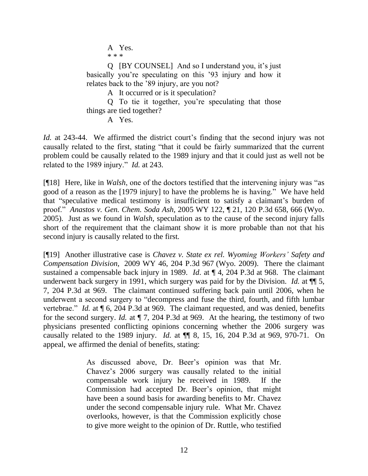A Yes. \* \* \*

Q [BY COUNSEL] And so I understand you, it's just basically you're speculating on this '93 injury and how it relates back to the '89 injury, are you not?

A It occurred or is it speculation?

Q To tie it together, you're speculating that those things are tied together?

A Yes.

*Id.* at 243-44. We affirmed the district court's finding that the second injury was not causally related to the first, stating "that it could be fairly summarized that the current problem could be causally related to the 1989 injury and that it could just as well not be related to the 1989 injury." *Id.* at 243.

[¶18] Here, like in *Walsh*, one of the doctors testified that the intervening injury was "as good of a reason as the [1979 injury] to have the problems he is having." We have held that "speculative medical testimony is insufficient to satisfy a claimant's burden of proof." *Anastos v. Gen. Chem. Soda Ash,* 2005 WY 122, ¶ 21, 120 P.3d 658, 666 (Wyo. 2005). Just as we found in *Walsh,* speculation as to the cause of the second injury falls short of the requirement that the claimant show it is more probable than not that his second injury is causally related to the first.

[¶19] Another illustrative case is *Chavez v. State ex rel. Wyoming Workers' Safety and Compensation Division*, 2009 WY 46, 204 P.3d 967 (Wyo. 2009). There the claimant sustained a compensable back injury in 1989. *Id*. at ¶ 4, 204 P.3d at 968. The claimant underwent back surgery in 1991, which surgery was paid for by the Division. *Id.* at  $\P$  5, 7, 204 P.3d at 969. The claimant continued suffering back pain until 2006, when he underwent a second surgery to "decompress and fuse the third, fourth, and fifth lumbar vertebrae." *Id.* at  $\P$  6, 204 P.3d at 969. The claimant requested, and was denied, benefits for the second surgery. *Id.* at ¶ 7, 204 P.3d at 969. At the hearing, the testimony of two physicians presented conflicting opinions concerning whether the 2006 surgery was causally related to the 1989 injury. *Id.* at ¶¶ 8, 15, 16, 204 P.3d at 969, 970-71. On appeal, we affirmed the denial of benefits, stating:

> As discussed above, Dr. Beer's opinion was that Mr. Chavez's 2006 surgery was causally related to the initial compensable work injury he received in 1989. If the Commission had accepted Dr. Beer's opinion, that might have been a sound basis for awarding benefits to Mr. Chavez under the second compensable injury rule. What Mr. Chavez overlooks, however, is that the Commission explicitly chose to give more weight to the opinion of Dr. Ruttle, who testified